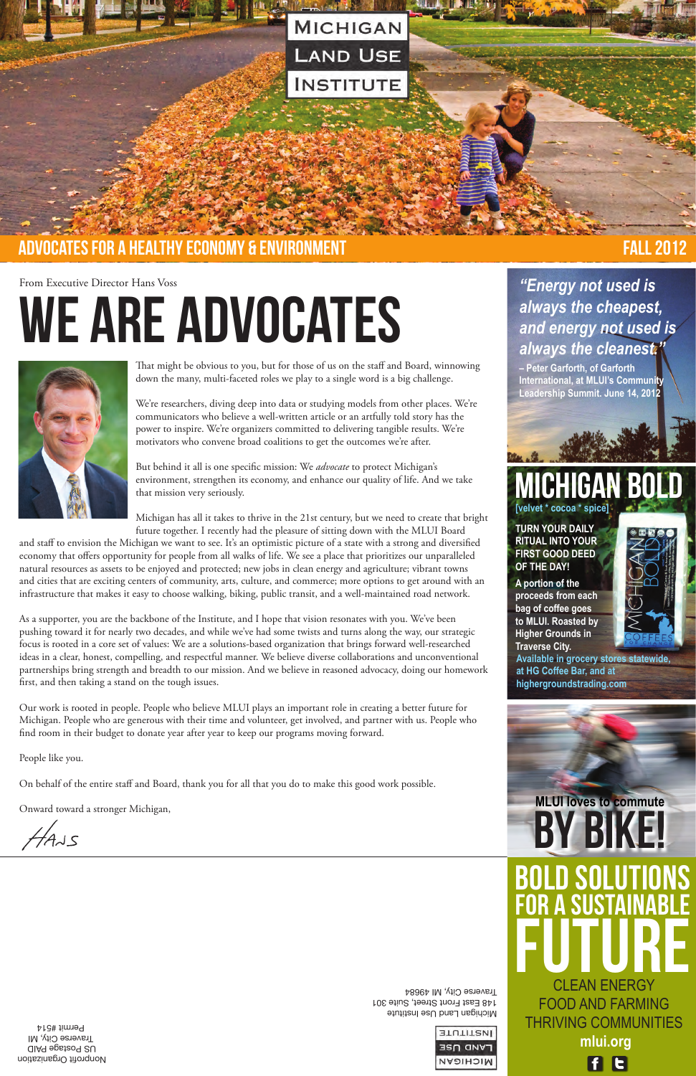### From Executive Director Hans Voss

# WE ARE ADVOCATES



That might be obvious to you, but for those of us on the staff and Board, winnowing down the many, multi-faceted roles we play to a single word is a big challenge.

We're researchers, diving deep into data or studying models from other places. We're communicators who believe a well-written article or an artfully told story has the power to inspire. We're organizers committed to delivering tangible results. We're motivators who convene broad coalitions to get the outcomes we're after.

But behind it all is one specific mission: We *advocate* to protect Michigan's environment, strengthen its economy, and enhance our quality of life. And we take that mission very seriously.

Michigan has all it takes to thrive in the 21st century, but we need to create that bright future together. I recently had the pleasure of sitting down with the MLUI Board

and staff to envision the Michigan we want to see. It's an optimistic picture of a state with a strong and diversified economy that offers opportunity for people from all walks of life. We see a place that prioritizes our unparalleled natural resources as assets to be enjoyed and protected; new jobs in clean energy and agriculture; vibrant towns and cities that are exciting centers of community, arts, culture, and commerce; more options to get around with an infrastructure that makes it easy to choose walking, biking, public transit, and a well-maintained road network.

As a supporter, you are the backbone of the Institute, and I hope that vision resonates with you. We've been pushing toward it for nearly two decades, and while we've had some twists and turns along the way, our strategic focus is rooted in a core set of values: We are a solutions-based organization that brings forward well-researched ideas in a clear, honest, compelling, and respectful manner. We believe diverse collaborations and unconventional partnerships bring strength and breadth to our mission. And we believe in reasoned advocacy, doing our homework first, and then taking a stand on the tough issues.

Our work is rooted in people. People who believe MLUI plays an important role in creating a better future for Michigan. People who are generous with their time and volunteer, get involved, and partner with us. People who find room in their budget to donate year after year to keep our programs moving forward.

People like you.

On behalf of the entire staff and Board, thank you for all that you do to make this good work possible.

Onward toward a stronger Michigan,

Nonprofit Organization US Postage PAID Traverse City, MI Permit #514

**STUTITEMI LAND USE** MICHIGAN

Michigan Land Use Institute 148 East Front Street, Suite 301 Traverse City, MI 49684

Bold Solutions for a Sustainable FUTURE CLEAN Energy Food and Farming Thriving Communities **mlui.org**

**FB** 

 $44J5$ 

# *"Energy not used is always the cheapest, and energy not used is always the cleanest."*

**– Peter Garforth, of Garforth International, at MLUI's Community Leadership Summit. June 14, 2012**

**[velvet \* cocoa \* spice]** 

**Turn your daily ritual into your first good deed of the day!**

**A portion of the proceeds from each bag of coffee goes to MLUI. Roasted by Higher Grounds in Traverse City.** 







Y Bi

**Available in grocery stores statewide, at HG Coffee Bar, and at highergroundstrading.com**



# advocates for a healthy economy & environment FALL 2012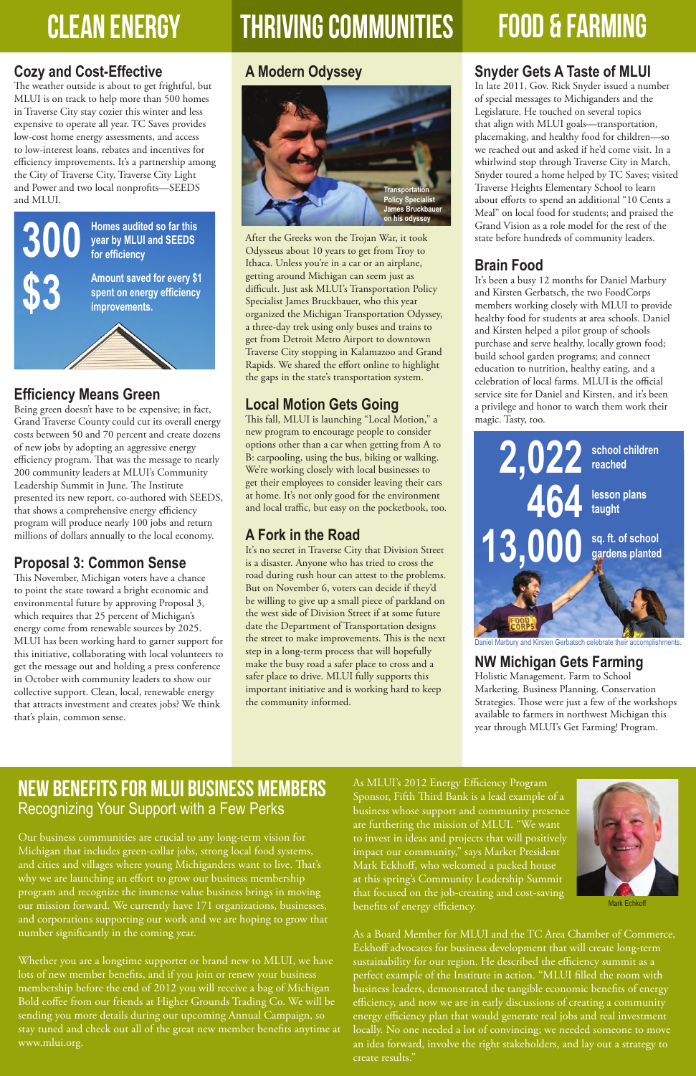# CLEAN ENERGY THRIVING COMMUNITIES FOOD & FARMING



# **Cozy and Cost-Effective**

The weather outside is about to get frightful, but MLUI is on track to help more than 500 homes in Traverse City stay cozier this winter and less expensive to operate all year. TC Saves provides low-cost home energy assessments, and access to low-interest loans, rebates and incentives for efficiency improvements. It's a partnership among the City of Traverse City, Traverse City Light and Power and two local nonprofits—SEEDS and MLUI.

# **Efficiency Means Green**

Being green doesn't have to be expensive; in fact, Grand Traverse County could cut its overall energy costs between 50 and 70 percent and create dozens of new jobs by adopting an aggressive energy efficiency program. That was the message to nearly 200 community leaders at MLUI's Community Leadership Summit in June. The Institute presented its new report, co-authored with SEEDS, that shows a comprehensive energy efficiency program will produce nearly 100 jobs and return millions of dollars annually to the local economy.

# **Proposal 3: Common Sense**

This November, Michigan voters have a chance to point the state toward a bright economic and environmental future by approving Proposal 3, which requires that 25 percent of Michigan's energy come from renewable sources by 2025. MLUI has been working hard to garner support for this initiative, collaborating with local volunteers to get the message out and holding a press conference in October with community leaders to show our collective support. Clean, local, renewable energy that attracts investment and creates jobs? We think that's plain, common sense.

# **A Modern Odyssey**

After the Greeks won the Trojan War, it took Odysseus about 10 years to get from Troy to Ithaca. Unless you're in a car or an airplane, getting around Michigan can seem just as difficult. Just ask MLUI's Transportation Policy Specialist James Bruckbauer, who this year organized the Michigan Transportation Odyssey, a three-day trek using only buses and trains to get from Detroit Metro Airport to downtown Traverse City stopping in Kalamazoo and Grand Rapids. We shared the effort online to highlight the gaps in the state's transportation system.

# **Local Motion Gets Going**

This fall, MLUI is launching "Local Motion," a new program to encourage people to consider options other than a car when getting from A to B: carpooling, using the bus, biking or walking. We're working closely with local businesses to get their employees to consider leaving their cars at home. It's not only good for the environment and local traffic, but easy on the pocketbook, too.

# **A Fork in the Road**

It's no secret in Traverse City that Division Street is a disaster. Anyone who has tried to cross the road during rush hour can attest to the problems. But on November 6, voters can decide if they'd be willing to give up a small piece of parkland on the west side of Division Street if at some future date the Department of Transportation designs the street to make improvements. This is the next step in a long-term process that will hopefully make the busy road a safer place to cross and a safer place to drive. MLUI fully supports this important initiative and is working hard to keep the community informed.

# **Snyder Gets A Taste of MLUI**

In late 2011, Gov. Rick Snyder issued a number of special messages to Michiganders and the Legislature. He touched on several topics that align with MLUI goals—transportation, placemaking, and healthy food for children—so we reached out and asked if he'd come visit. In a whirlwind stop through Traverse City in March, Snyder toured a home helped by TC Saves; visited Traverse Heights Elementary School to learn about efforts to spend an additional "10 Cents a Meal" on local food for students; and praised the Grand Vision as a role model for the rest of the state before hundreds of community leaders.

# **Brain Food**

It's been a busy 12 months for Daniel Marbury and Kirsten Gerbatsch, the two FoodCorps members working closely with MLUI to provide healthy food for students at area schools. Daniel and Kirsten helped a pilot group of schools purchase and serve healthy, locally grown food; build school garden programs; and connect education to nutrition, healthy eating, and a celebration of local farms. MLUI is the official service site for Daniel and Kirsten, and it's been a privilege and honor to watch them work their magic. Tasty, too.

# **NW Michigan Gets Farming**

Holistic Management. Farm to School Marketing. Business Planning. Conservation Strategies. Those were just a few of the workshops available to farmers in northwest Michigan this year through MLUI's Get Farming! Program.



# Recognizing Your Support with a Few Perks

Our business communities are crucial to any long-term vision for Michigan that includes green-collar jobs, strong local food systems, and cities and villages where young Michiganders want to live. That's why we are launching an effort to grow our business membership program and recognize the immense value business brings in moving our mission forward. We currently have 171 organizations, businesses, and corporations supporting our work and we are hoping to grow that number significantly in the coming year.

Whether you are a longtime supporter or brand new to MLUI, we have lots of new member benefits, and if you join or renew your business membership before the end of 2012 you will receive a bag of Michigan Bold coffee from our friends at Higher Grounds Trading Co. We will be sending you more details during our upcoming Annual Campaign, so stay tuned and check out all of the great new member benefits anytime at www.mlui.org.

Sponsor, Fifth Third Bank is a lead example of a business whose support and community presence are furthering the mission of MLUI. "We want to invest in ideas and projects that will positively impact our community," says Market President Mark Eckhoff, who welcomed a packed house at this spring's Community Leadership Summit that focused on the job-creating and cost-saving benefits of energy efficiency.

As a Board Member for MLUI and the TC Area Chamber of Commerce, Eckhoff advocates for business development that will create long-term sustainability for our region. He described the efficiency summit as a perfect example of the Institute in action. "MLUI filled the room with business leaders, demonstrated the tangible economic benefits of energy efficiency, and now we are in early discussions of creating a community energy efficiency plan that would generate real jobs and real investment locally. No one needed a lot of convincing; we needed someone to move an idea forward, involve the right stakeholders, and lay out a strategy to create results."

Mark Echkoff



Daniel Marbury and Kirsten Gerbatsch celebrate their accomplishments.

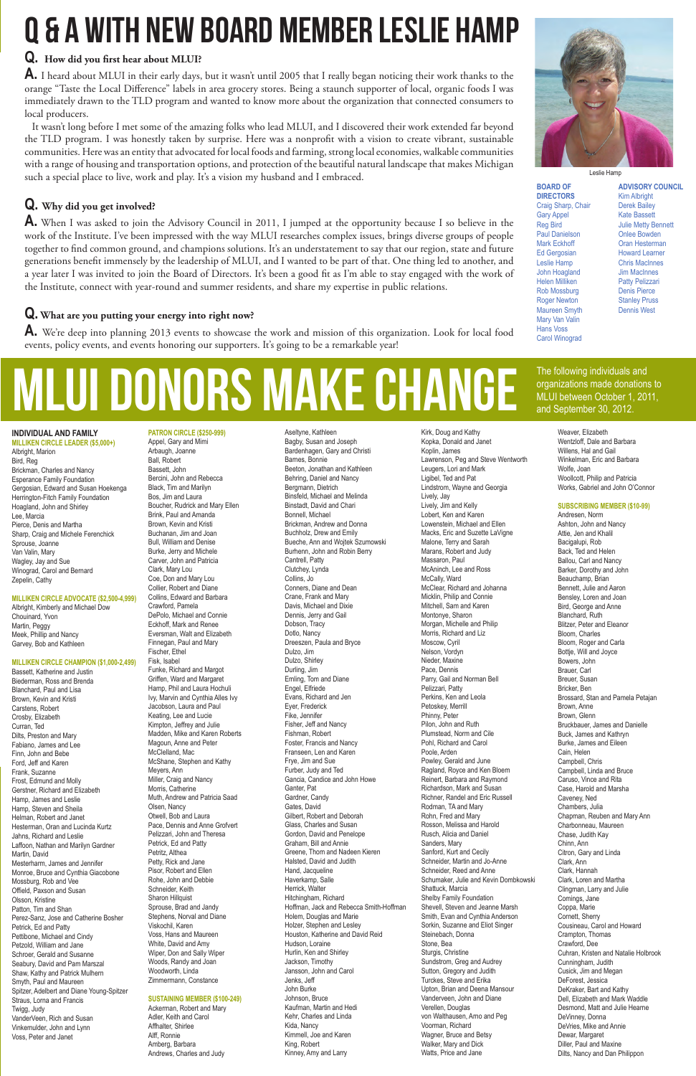### **INDIVIDUAL AND FA MILY**

**Milliken Circle Leader (\$5,000+)** Albright, Marion Bird, Reg Brickman, Charles and Nancy Esperance Family Foundation Gergosian, Edward and Susan Hoekenga Herrington-Fitch Family Foundation Hoagland, John and Shirley Lee, Marcia Pierce, Denis and Martha Sharp, Craig and Michele Ferenchick Sprouse, Joanne Van Valin, Mary Wagley, Jay and Sue Winograd, Carol and Bernard Zepelin, Cathy

#### **Milliken Circle Advocate (\$2,500-4,999)**

Albright, Kimberly and Michael Dow Chouinard, Yvon Martin, Peggy Meek, Phillip and Nancy Garvey, Bob and Kathleen

#### **Milliken Circle Champion (\$1,000-2,499)**

Bassett, Katherine and Justin Biederman, Ross and Brenda Blanchard, Paul and Lisa Brown, Kevin and Kristi Carstens, Robert Crosby, Elizabeth Curran, Ted Dilts, Preston and Mary Fabiano, James and Lee Finn, John and Bebe Ford, Jeff and Karen Frank, Suzanne Frost, Edmund and Molly erstner, Richard and Eliz Hamp, James and Leslie Hamp, Steven and Sheila Helman, Robert and Janet Hesterman, Oran and Lucinda Kurtz Jahns, Richard and Leslie Laffoon, Nathan and Marilyn Gardner Martin, David Mesterharm, James and Jennifer Monroe, Bruce and Cynthia Giacobone Mossburg, Rob and Vee Offield, Paxson and Susan Olsson, Kristine Patton, Tim and Shan Perez-Sanz, Jose and Catherine Bosher Petrick, Ed and Patty Pettibone, Michael and Cindy Petzold, William and Jane Schroer, Gerald and Susanne Seabury, David and Pam Marszal Shaw, Kathy and Patrick Mulhern Smyth, Paul and Maureen Spitzer, Adelbert and Diane Young-Spitzer Straus, Lorna and Francis Twigg, Judy VanderVeen, Rich and Susan Vinkemulder, John and Lynn Voss, Peter and Janet

**Patron Circle (\$250-999)**

Appel, Gary and Mimi Arbaugh, Joanne Ball, Robert Bassett, John Bercini, John and Rebecca Black, Tim and Marilyn Bos, Jim and Laura Boucher, Rudrick and Mary Ellen Brink, Paul and Amanda Brown, Kevin and Kristi Buchanan, Jim and Joan Bull, William and Denise Burke, Jerry and Michele Carver, John and Patricia Clark, Mary Lou Coe, Don and Mary Lou Collier, Robert and Diane Collins, Edward and Barbara Crawford, Pamela DePolo, Michael and Connie Eckhoff, Mark and Renee Eversman, Walt and Elizabeth Finnegan, Paul and Mary Fischer, Ethel Fisk, Isabel Funke, Richard and Margot Griffen, Ward and Margaret Hamp, Phil and Laura Hochuli Ivy, Marvin and Cynthia Alles Ivy Jacobson, Laura and Paul Keating, Lee and Lucie Kimpton, Jeffrey and Julie Madden, Mike and Karen Roberts Magoun, Anne and Peter McClelland, Mac McShane, Stephen and Kathy Meyers, Ann Miller, Craig and Nancy Morris, Catherine Muth, Andrew and Patricia Saad Olsen, Nancy Otwell, Bob and Laura Pace, Dennis and Anne Grofvert Pelizzari, John and Theresa Petrick, Ed and Patty Petritz, Althea Petty, Rick and Jane Pisor, Robert and Ellen Rohe, John and Debbie Schneider, Keith Sharon Hillquist Sprouse, Brad and Jandy Stephens, Norval and Diane Viskochil, Karen Voss, Hans and Maureen White, David and Amy Wiper, Don and Sally Wiper Woods, Randy and Joan Woodworth, Linda Zimmermann, Constance

#### **Sustaining Member (\$100-249)**

Ackerman, Robert and Mary Adler, Keith and Carol Affhalter, Shirlee Alff, Ronnie Amberg, Barbara Andrews, Charles and Judy

Aseltyne, Kathleen Bagby, Susan and Joseph Bardenhagen, Gary and Christi Barnes, Bonnie Beeton, Jonathan and Kathleen Behring, Daniel and Nancy Bergmann, Dietrich Binsfeld, Michael and Melinda Binstadt, David and Chari Bonnell, Michael Brickman, Andrew and Donna Buchholz, Drew and Emily Bueche, Ann and Wojtek Szumowski Burhenn, John and Robin Berry Cantrell, Patty Clutchey, Lynda Collins, Jo Conners, Diane and Dean Crane, Frank and Mary Davis, Michael and Dixie Dennis, Jerry and Gail Dobson, Tracy Dotlo, Nancy Dreeszen, Paula and Bryce Dulzo, Jim Dulzo, Shirley Durling, Jim Emling, Tom and Diane Engel, Elfriede Evans, Richard and Jen Eyer, Frederick Fike, Jennifer Fisher, Jeff and Nancy Fishman, Robert Foster, Francis and Nancy Franseen, Len and Karen Frye, Jim and Sue Furber, Judy and Ted Gancia, Candice and John Howe Ganter, Pat Gardner, Candy Gates, David Gilbert, Robert and Deborah Glass, Charles and Susan Gordon, David and Penelope Graham, Bill and Annie Greene, Thom and Nadeen Kieren Halsted, David and Judith Hand, Jacqueline Haverkamp, Salle Herrick, Walter Hitchingham, Richard Hoffman, Jack and Rebecca Smith-Hoffman Holem, Douglas and Marie Holzer, Stephen and Lesley Houston, Katherine and David Reid Hudson, Loraine Hurlin, Ken and Shirley Jackson, Timothy Jansson, John and Carol Jenks, Jeff John Burke Johnson, Bruce Kaufman, Martin and Hedi Kehr, Charles and Linda Kida, Nancy Kimmell, Joe and Karen King, Robert Kinney, Amy and Larry

Kirk, Doug and Kathy Kopka, Donald and Janet Koplin, James Lawrenson, Peg and Steve Wentworth Leugers, Lori and Mark Ligibel, Ted and Pat Lindstrom, Wayne and Georgia Lively, Jay Lively, Jim and Kelly Lobert, Ken and Karen Lowenstein, Michael and Ellen Macks, Eric and Suzette LaVigne Malone, Terry and Sarah Marans, Robert and Judy Massaron, Paul McAninch, Lee and Ross McCally, Ward McClear, Richard and Johanna Micklin, Philip and Connie Mitchell, Sam and Karen Montonye, Sharon Morgan, Michelle and Philip Morris, Richard and Liz Moscow, Cyril Nelson, Vordyn Nieder, Maxine Pace, Dennis Parry, Gail and Norman Bell Pelizzari, Patty Perkins, Ken and Leola Petoskey, Merrill Phinny, Peter Pilon, John and Ruth Plumstead, Norm and Cile Pohl, Richard and Carol Poole, Arden Powley, Gerald and June Ragland, Royce and Ken Bloem Reinert, Barbara and Raymond Richardson, Mark and Susan Richner, Randel and Eric Russell Rodman, TA and Mary Rohn, Fred and Mary Rosson, Melissa and Harold Rusch, Alicia and Daniel Sanders, Mary Sanford, Kurt and Cecily Schneider, Martin and Jo-Anne Schneider, Reed and Anne Schumaker, Julie and Kevin Dombkowski Shattuck, Marcia Shelby Family Foundation Shevell, Steven and Jeanne Marsh Smith, Evan and Cynthia Anderson Sorkin, Suzanne and Eliot Singer Steinebach, Donna Stone, Bea Sturgis, Christine Sundstrom, Greg and Audrey Sutton, Gregory and Judith Turckes, Steve and Erika Upton, Brian and Deena Mansour Vanderveen, John and Diane Verellen, Douglas von Walthausen, Arno and Peg Voorman, Richard Wagner, Bruce and Betsy Walker, Mary and Dick Watts, Price and Jane



Weaver, Elizabeth Wentzloff, Dale and Barbara Willens, Hal and Gail Winkelman, Eric and Barbara Wolfe, Joan Woollcott, Philip and Patricia Works, Gabriel and John O'Connor

#### **Subscribing Member (\$10-99)**

Andresen, Norm Ashton, John and Nancy Attie, Jen and Khalil Bacigalupi, Rob Back, Ted and Helen Ballou, Carl and Nancy Barker, Dorothy and John Beauchamp, Brian Bennett, Julie and Aaron Bensley, Loren and Joan Bird, George and Anne Blanchard, Ruth Blitzer, Peter and Eleanor Bloom, Charles Bloom, Roger and Carla Bottje, Will and Joyce Bowers, John Brauer, Carl Breuer, Susan Bricker, Ben Brossard, Stan and Pamela Petajan Brown, Anne Brown, Glenn Bruckbauer, James and Danielle Buck, James and Kathryn Burke, James and Eileen Cain, Helen Campbell, Chris Campbell, Linda and Bruce Caruso, Vince and Rita Case, Harold and Marsh Caveney, Ned Chambers, Julia Chapman, Reuben and Mary Ann Charbonneau, Maureen Chase, Judith Kay Chinn, Ann Citron, Gary and Linda Clark, Ann Clark, Hannah Clark, Loren and Martha Clingman, Larry and Julie Comings, Jane Coppa, Marie Cornett, Sherry Cousineau, Carol and Howard Crampton, Thomas Crawford, Dee Cuhran, Kristen and Natalie Holbrook Cunningham, Judith Cusick, Jim and Megan DeForest, Jessica DeKraker, Bart and Kathy Dell, Elizabeth and Mark Waddle Desmond, Matt and Julie Hearne DeVinney, Donna DeVries, Mike and Annie Dewar, Margaret Diller, Paul and Maxine Dilts, Nancy and Dan Philippon

### **Q. How did you first hear about MLUI?**

**A.** I heard about MLUI in their early days, but it wasn't until 2005 that I really began noticing their work thanks to the orange "Taste the Local Difference" labels in area grocery stores. Being a staunch supporter of local, organic foods I was immediately drawn to the TLD program and wanted to know more about the organization that connected consumers to local producers.

 It wasn't long before I met some of the amazing folks who lead MLUI, and I discovered their work extended far beyond the TLD program. I was honestly taken by surprise. Here was a nonprofit with a vision to create vibrant, sustainable communities. Here was an entity that advocated for local foods and farming, strong local economies, walkable communities with a range of housing and transportation options, and protection of the beautiful natural landscape that makes Michigan such a special place to live, work and play. It's a vision my husband and I embraced.

## **Q. Why did you get involved?**

**A.** When I was asked to join the Advisory Council in 2011, I jumped at the opportunity because I so believe in the work of the Institute. I've been impressed with the way MLUI researches complex issues, brings diverse groups of people together to find common ground, and champions solutions. It's an understatement to say that our region, state and future generations benefit immensely by the leadership of MLUI, and I wanted to be part of that. One thing led to another, and a year later I was invited to join the Board of Directors. It's been a good fit as I'm able to stay engaged with the work of the Institute, connect with year-round and summer residents, and share my expertise in public relations.

## **Q. What are you putting your energy into right now?**

**A.** We're deep into planning 2013 events to showcase the work and mission of this organization. Look for local food events, policy events, and events honoring our supporters. It's going to be a remarkable year!

# mlui donors make change

# Q & A with new board member Leslie Hamp

**Board of Directors** Craig Sharp, Chair Gary Appel Reg Bird Paul Danielson Mark Eckhoff Ed Gergosian Leslie Hamp John Hoagland Helen Milliken Rob Mossburg Roger Newton Maureen Smyth Mary Van Valin Hans Voss Carol Winograd

**Advisory Council** Kim Albright Derek Bailey Kate Bassett Julie Metty Bennett Onlee Bowden Oran Hesterman Howard Learner Chris MacInnes Jim MacInnes Patty Pelizzari Denis Pierce Stanley Pruss Dennis West

Leslie Hamp

The following individuals and organizations made donations to MLUI between October 1, 2011, and September 30, 2012.